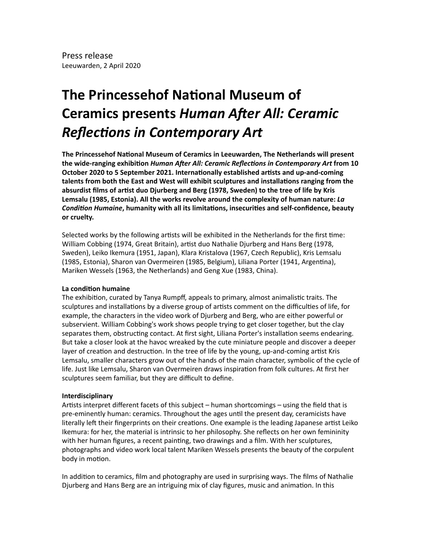## **The Princessehof National Museum of Ceramics presents Human After All: Ceramic Reflections in Contemporary Art**

The Princessehof National Museum of Ceramics in Leeuwarden, The Netherlands will present the wide-ranging exhibition *Human After All: Ceramic Reflections in Contemporary Art* from 10 **October 2020 to 5 September 2021. Internationally established artists and up-and-coming** talents from both the East and West will exhibit sculptures and installations ranging from the absurdist films of artist duo Djurberg and Berg (1978, Sweden) to the tree of life by Kris **Lemsalu (1985, Estonia). All the works revolve around the complexity of human nature: La** *Condition Humaine*, humanity with all its limitations, insecurities and self-confidence, beauty or cruelty.

Selected works by the following artists will be exhibited in the Netherlands for the first time: William Cobbing (1974, Great Britain), artist duo Nathalie Djurberg and Hans Berg (1978, Sweden), Leiko Ikemura (1951, Japan), Klara Kristalova (1967, Czech Republic), Kris Lemsalu (1985, Estonia), Sharon van Overmeiren (1985, Belgium), Liliana Porter (1941, Argentina), Mariken Wessels (1963, the Netherlands) and Geng Xue (1983, China).

## **La condition humaine**

The exhibition, curated by Tanya Rumpff, appeals to primary, almost animalistic traits. The sculptures and installations by a diverse group of artists comment on the difficulties of life, for example, the characters in the video work of Djurberg and Berg, who are either powerful or subservient. William Cobbing's work shows people trying to get closer together, but the clay separates them, obstructing contact. At first sight, Liliana Porter's installation seems endearing. But take a closer look at the havoc wreaked by the cute miniature people and discover a deeper layer of creation and destruction. In the tree of life by the young, up-and-coming artist Kris Lemsalu, smaller characters grow out of the hands of the main character, symbolic of the cycle of life. Just like Lemsalu, Sharon van Overmeiren draws inspiration from folk cultures. At first her sculptures seem familiar, but they are difficult to define.

## **Interdisciplinary**

Artists interpret different facets of this subject  $-$  human shortcomings  $-$  using the field that is pre-eminently human: ceramics. Throughout the ages until the present day, ceramicists have literally left their fingerprints on their creations. One example is the leading Japanese artist Leiko Ikemura: for her, the material is intrinsic to her philosophy. She reflects on her own femininity with her human figures, a recent painting, two drawings and a film. With her sculptures, photographs and video work local talent Mariken Wessels presents the beauty of the corpulent body in motion.

In addition to ceramics, film and photography are used in surprising ways. The films of Nathalie Djurberg and Hans Berg are an intriguing mix of clay figures, music and animation. In this